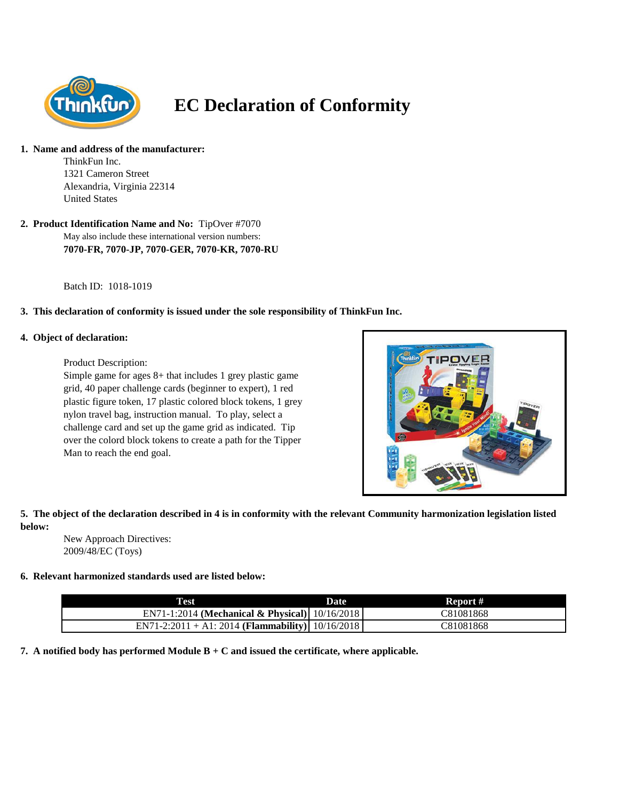

# **EC Declaration of Conformity**

#### **1. Name and address of the manufacturer:**

ThinkFun Inc. 1321 Cameron Street Alexandria, Virginia 22314 United States

May also include these international version numbers: **2. Product Identification Name and No:** TipOver #7070 **7070-FR, 7070-JP, 7070-GER, 7070-KR, 7070-RU**

Batch ID: 1018-1019

### **3. This declaration of conformity is issued under the sole responsibility of ThinkFun Inc.**

#### **4. Object of declaration:**

Product Description:

Simple game for ages 8+ that includes 1 grey plastic game grid, 40 paper challenge cards (beginner to expert), 1 red plastic figure token, 17 plastic colored block tokens, 1 grey nylon travel bag, instruction manual. To play, select a challenge card and set up the game grid as indicated. Tip over the colord block tokens to create a path for the Tipper Man to reach the end goal.



## **5. The object of the declaration described in 4 is in conformity with the relevant Community harmonization legislation listed below:**

New Approach Directives: 2009/48/EC (Toys)

### **6. Relevant harmonized standards used are listed below:**

| <b>Test</b>                                      | Date | Report #  |
|--------------------------------------------------|------|-----------|
| EN71-1:2014 (Mechanical & Physical) 10/16/2018   |      | C81081868 |
| EN71-2:2011 + A1: 2014 (Flammability) 10/16/2018 |      | C81081868 |

**7. A notified body has performed Module B + C and issued the certificate, where applicable.**